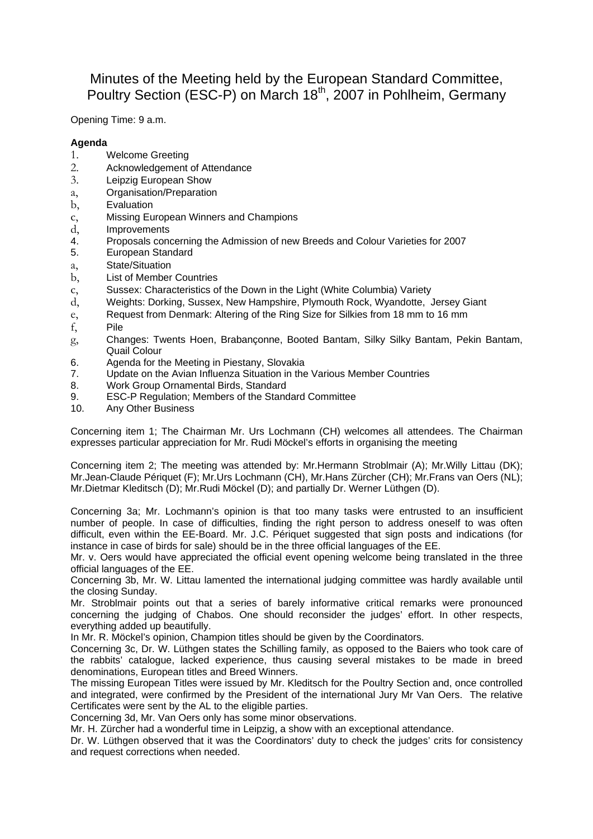Minutes of the Meeting held by the European Standard Committee, Poultry Section (ESC-P) on March 18<sup>th</sup>, 2007 in Pohlheim, Germany

Opening Time: 9 a.m.

## **Agenda**

- 1. Welcome Greeting
- 2. Acknowledgement of Attendance
- 3. Leipzig European Show
- a, Organisation/Preparation
- **Evaluation**
- c, Missing European Winners and Champions
- d, Improvements
- 4. Proposals concerning the Admission of new Breeds and Colour Varieties for 2007
- 5. European Standard
- a, State/Situation
- b, List of Member Countries
- c, Sussex: Characteristics of the Down in the Light (White Columbia) Variety
- d, Weights: Dorking, Sussex, New Hampshire, Plymouth Rock, Wyandotte, Jersey Giant
- e, Request from Denmark: Altering of the Ring Size for Silkies from 18 mm to 16 mm
- f, Pile
- g, Changes: Twents Hoen, Brabançonne, Booted Bantam, Silky Silky Bantam, Pekin Bantam, Quail Colour
- 6. Agenda for the Meeting in Piestany, Slovakia
- 7. Update on the Avian Influenza Situation in the Various Member Countries
- 8. Work Group Ornamental Birds, Standard
- 9. ESC-P Regulation; Members of the Standard Committee
- 10. Any Other Business

Concerning item 1; The Chairman Mr. Urs Lochmann (CH) welcomes all attendees. The Chairman expresses particular appreciation for Mr. Rudi Möckel's efforts in organising the meeting

Concerning item 2; The meeting was attended by: Mr.Hermann Stroblmair (A); Mr.Willy Littau (DK); Mr.Jean-Claude Périquet (F); Mr.Urs Lochmann (CH), Mr.Hans Zürcher (CH); Mr.Frans van Oers (NL); Mr.Dietmar Kleditsch (D); Mr.Rudi Möckel (D); and partially Dr. Werner Lüthgen (D).

Concerning 3a; Mr. Lochmann's opinion is that too many tasks were entrusted to an insufficient number of people. In case of difficulties, finding the right person to address oneself to was often difficult, even within the EE-Board. Mr. J.C. Périquet suggested that sign posts and indications (for instance in case of birds for sale) should be in the three official languages of the EE.

Mr. v. Oers would have appreciated the official event opening welcome being translated in the three official languages of the EE.

Concerning 3b, Mr. W. Littau lamented the international judging committee was hardly available until the closing Sunday.

Mr. Stroblmair points out that a series of barely informative critical remarks were pronounced concerning the judging of Chabos. One should reconsider the judges' effort. In other respects, everything added up beautifully.

In Mr. R. Möckel's opinion, Champion titles should be given by the Coordinators.

Concerning 3c, Dr. W. Lüthgen states the Schilling family, as opposed to the Baiers who took care of the rabbits' catalogue, lacked experience, thus causing several mistakes to be made in breed denominations, European titles and Breed Winners.

The missing European Titles were issued by Mr. Kleditsch for the Poultry Section and, once controlled and integrated, were confirmed by the President of the international Jury Mr Van Oers. The relative Certificates were sent by the AL to the eligible parties.

Concerning 3d, Mr. Van Oers only has some minor observations.

Mr. H. Zürcher had a wonderful time in Leipzig, a show with an exceptional attendance.

Dr. W. Lüthgen observed that it was the Coordinators' duty to check the judges' crits for consistency and request corrections when needed.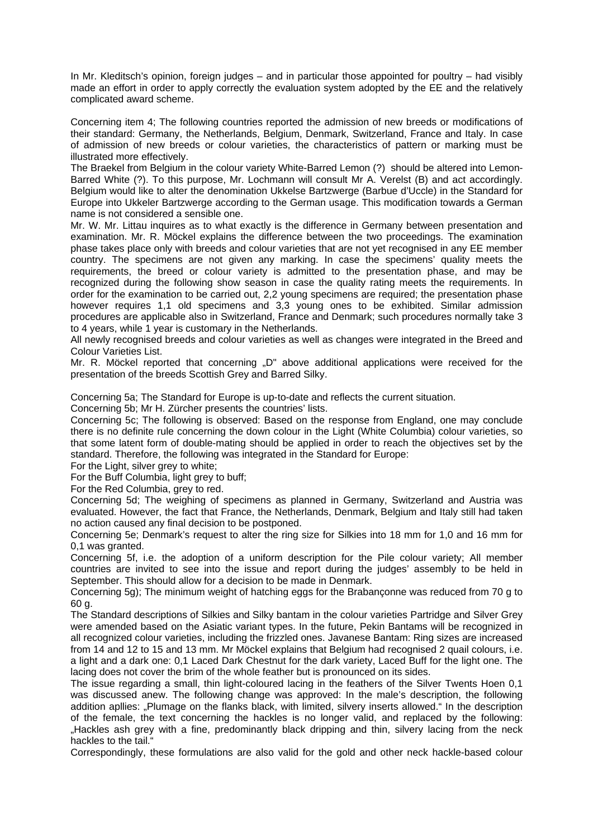In Mr. Kleditsch's opinion, foreign judges – and in particular those appointed for poultry – had visibly made an effort in order to apply correctly the evaluation system adopted by the EE and the relatively complicated award scheme.

Concerning item 4; The following countries reported the admission of new breeds or modifications of their standard: Germany, the Netherlands, Belgium, Denmark, Switzerland, France and Italy. In case of admission of new breeds or colour varieties, the characteristics of pattern or marking must be illustrated more effectively.

The Braekel from Belgium in the colour variety White-Barred Lemon (?) should be altered into Lemon-Barred White (?). To this purpose, Mr. Lochmann will consult Mr A. Verelst (B) and act accordingly. Belgium would like to alter the denomination Ukkelse Bartzwerge (Barbue d'Uccle) in the Standard for Europe into Ukkeler Bartzwerge according to the German usage. This modification towards a German name is not considered a sensible one.

Mr. W. Mr. Littau inquires as to what exactly is the difference in Germany between presentation and examination. Mr. R. Möckel explains the difference between the two proceedings. The examination phase takes place only with breeds and colour varieties that are not yet recognised in any EE member country. The specimens are not given any marking. In case the specimens' quality meets the requirements, the breed or colour variety is admitted to the presentation phase, and may be recognized during the following show season in case the quality rating meets the requirements. In order for the examination to be carried out, 2,2 young specimens are required; the presentation phase however requires 1,1 old specimens and 3,3 young ones to be exhibited. Similar admission procedures are applicable also in Switzerland, France and Denmark; such procedures normally take 3 to 4 years, while 1 year is customary in the Netherlands.

All newly recognised breeds and colour varieties as well as changes were integrated in the Breed and Colour Varieties List.

Mr. R. Möckel reported that concerning  $\Box$  above additional applications were received for the presentation of the breeds Scottish Grey and Barred Silky.

Concerning 5a; The Standard for Europe is up-to-date and reflects the current situation.

Concerning 5b; Mr H. Zürcher presents the countries' lists.

Concerning 5c; The following is observed: Based on the response from England, one may conclude there is no definite rule concerning the down colour in the Light (White Columbia) colour varieties, so that some latent form of double-mating should be applied in order to reach the objectives set by the standard. Therefore, the following was integrated in the Standard for Europe:

For the Light, silver grey to white:

For the Buff Columbia, light grey to buff:

For the Red Columbia, grey to red.

Concerning 5d; The weighing of specimens as planned in Germany, Switzerland and Austria was evaluated. However, the fact that France, the Netherlands, Denmark, Belgium and Italy still had taken no action caused any final decision to be postponed.

Concerning 5e; Denmark's request to alter the ring size for Silkies into 18 mm for 1,0 and 16 mm for 0,1 was granted.

Concerning 5f, i.e. the adoption of a uniform description for the Pile colour variety; All member countries are invited to see into the issue and report during the judges' assembly to be held in September. This should allow for a decision to be made in Denmark.

Concerning 5g); The minimum weight of hatching eggs for the Brabançonne was reduced from 70 g to 60 g.

The Standard descriptions of Silkies and Silky bantam in the colour varieties Partridge and Silver Grey were amended based on the Asiatic variant types. In the future, Pekin Bantams will be recognized in all recognized colour varieties, including the frizzled ones. Javanese Bantam: Ring sizes are increased from 14 and 12 to 15 and 13 mm. Mr Möckel explains that Belgium had recognised 2 quail colours, i.e. a light and a dark one: 0,1 Laced Dark Chestnut for the dark variety, Laced Buff for the light one. The lacing does not cover the brim of the whole feather but is pronounced on its sides.

The issue regarding a small, thin light-coloured lacing in the feathers of the Silver Twents Hoen 0,1 was discussed anew. The following change was approved: In the male's description, the following addition apllies: "Plumage on the flanks black, with limited, silvery inserts allowed." In the description of the female, the text concerning the hackles is no longer valid, and replaced by the following: "Hackles ash grey with a fine, predominantly black dripping and thin, silvery lacing from the neck hackles to the tail."

Correspondingly, these formulations are also valid for the gold and other neck hackle-based colour